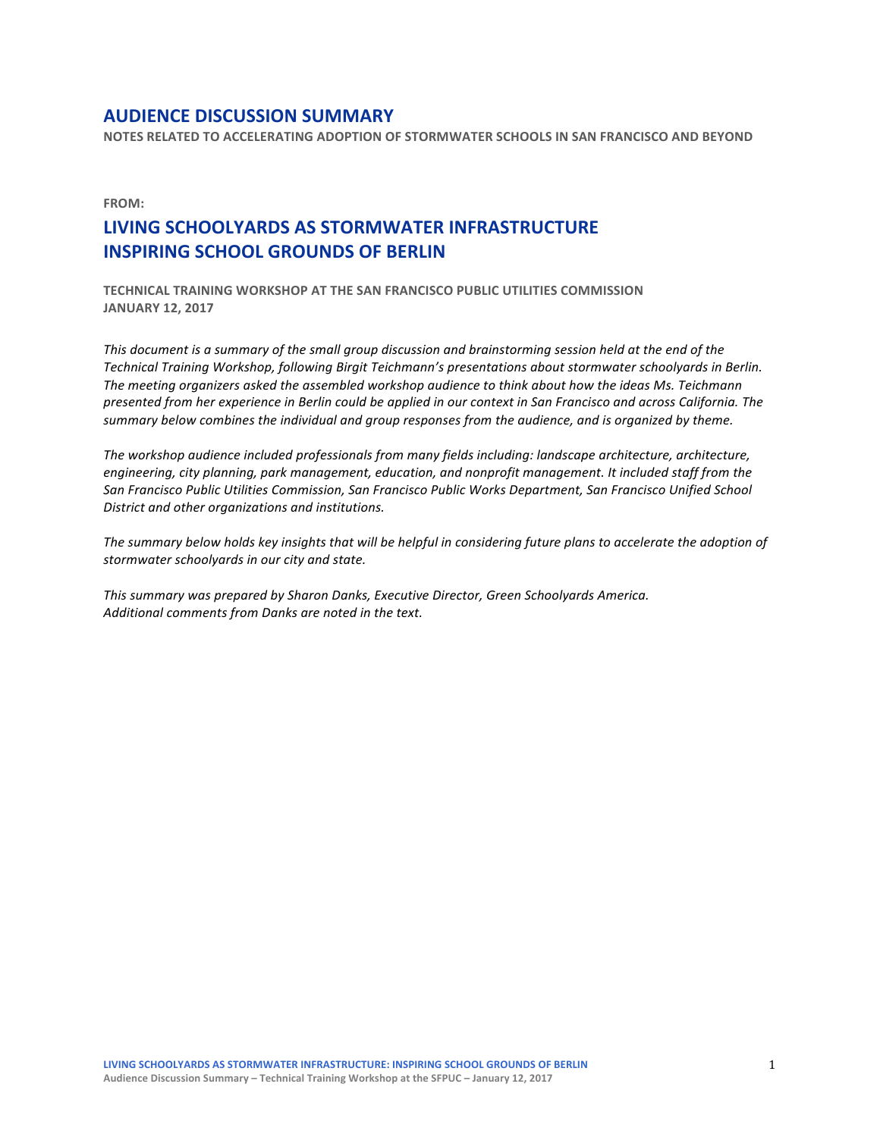# **AUDIENCE DISCUSSION SUMMARY**

**NOTES RELATED TO ACCELERATING ADOPTION OF STORMWATER SCHOOLS IN SAN FRANCISCO AND BEYOND** 

**FROM:**

# LIVING SCHOOLYARDS AS STORMWATER INFRASTRUCTURE **INSPIRING SCHOOL GROUNDS OF BERLIN**

**TECHNICAL TRAINING WORKSHOP AT THE SAN FRANCISCO PUBLIC UTILITIES COMMISSION JANUARY 12, 2017** 

This document is a summary of the small aroup discussion and brainstorming session held at the end of the *Technical Training Workshop, following Birgit Teichmann's presentations about stormwater schoolyards in Berlin.*  The meeting organizers asked the assembled workshop audience to think about how the ideas Ms. Teichmann *presented from her experience in Berlin could be applied in our context in San Francisco and across California. The*  summary below combines the *individual* and group responses from the audience, and is organized by theme.

The workshop audience included professionals from many fields including: landscape architecture, architecture, *engineering, city planning, park management, education, and nonprofit management. It included staff from the* San Francisco Public Utilities Commission, San Francisco Public Works Department, San Francisco Unified School District and other organizations and institutions.

The summary below holds key insights that will be helpful in considering future plans to accelerate the adoption of stormwater schoolyards in our city and state.

This summary was prepared by Sharon Danks, Executive Director, Green Schoolyards America. Additional comments from Danks are noted in the text.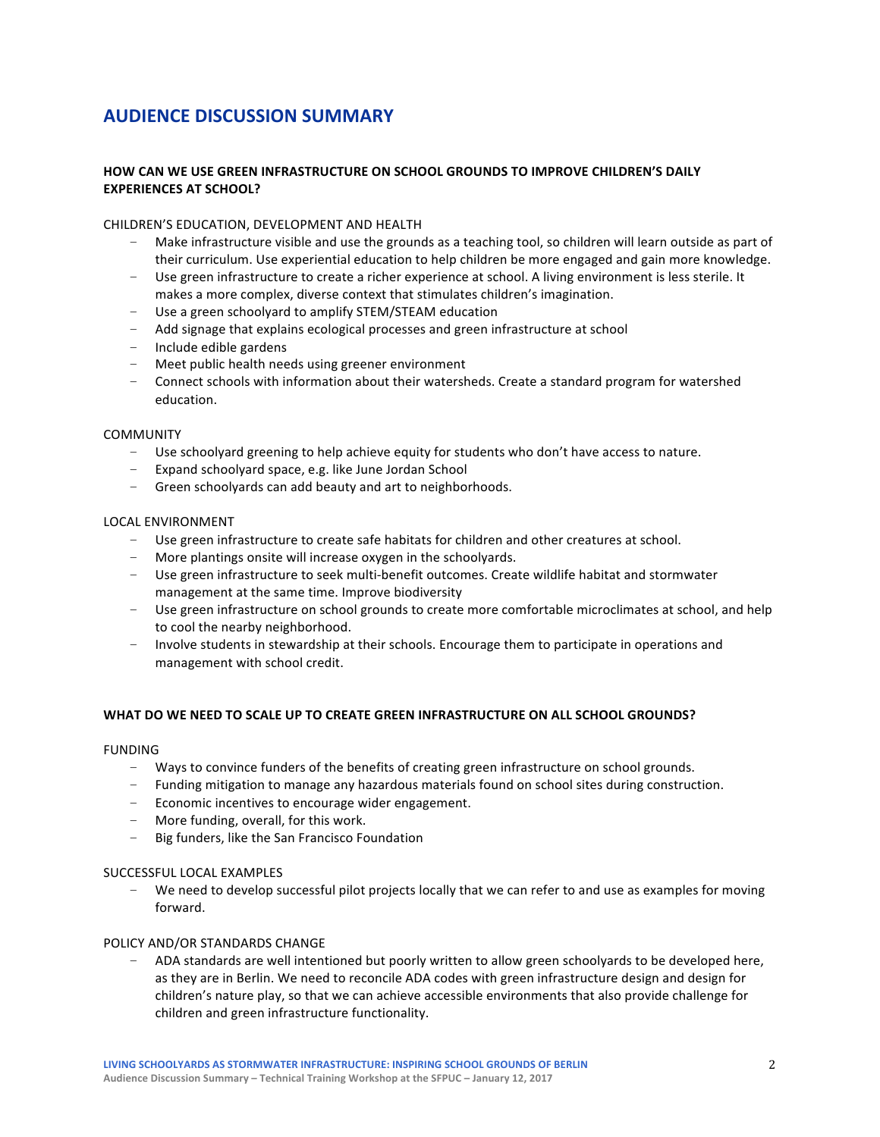# **AUDIENCE DISCUSSION SUMMARY**

# **HOW CAN WE USE GREEN INFRASTRUCTURE ON SCHOOL GROUNDS TO IMPROVE CHILDREN'S DAILY EXPERIENCES AT SCHOOL?**

## CHILDREN'S EDUCATION, DEVELOPMENT AND HEALTH

- Make infrastructure visible and use the grounds as a teaching tool, so children will learn outside as part of their curriculum. Use experiential education to help children be more engaged and gain more knowledge.
- Use green infrastructure to create a richer experience at school. A living environment is less sterile. It makes a more complex, diverse context that stimulates children's imagination.
- Use a green schoolyard to amplify STEM/STEAM education
- Add signage that explains ecological processes and green infrastructure at school
- $-$  Include edible gardens
- Meet public health needs using greener environment
- Connect schools with information about their watersheds. Create a standard program for watershed education.

#### COMMUNITY

- Use schoolyard greening to help achieve equity for students who don't have access to nature.
- Expand schoolyard space, e.g. like June Jordan School
- Green schoolyards can add beauty and art to neighborhoods.

#### LOCAL ENVIRONMENT

- Use green infrastructure to create safe habitats for children and other creatures at school.
- $-$  More plantings onsite will increase oxygen in the schoolyards.
- Use green infrastructure to seek multi-benefit outcomes. Create wildlife habitat and stormwater management at the same time. Improve biodiversity
- Use green infrastructure on school grounds to create more comfortable microclimates at school, and help to cool the nearby neighborhood.
- Involve students in stewardship at their schools. Encourage them to participate in operations and management with school credit.

## WHAT DO WE NEED TO SCALE UP TO CREATE GREEN INFRASTRUCTURE ON ALL SCHOOL GROUNDS?

#### FUNDING

- Ways to convince funders of the benefits of creating green infrastructure on school grounds.
- Funding mitigation to manage any hazardous materials found on school sites during construction.
- $-$  Economic incentives to encourage wider engagement.
- More funding, overall, for this work.
- Big funders, like the San Francisco Foundation

#### SUCCESSFUL LOCAL EXAMPLES

We need to develop successful pilot projects locally that we can refer to and use as examples for moving forward.

#### POLICY AND/OR STANDARDS CHANGE

- ADA standards are well intentioned but poorly written to allow green schoolyards to be developed here, as they are in Berlin. We need to reconcile ADA codes with green infrastructure design and design for children's nature play, so that we can achieve accessible environments that also provide challenge for children and green infrastructure functionality.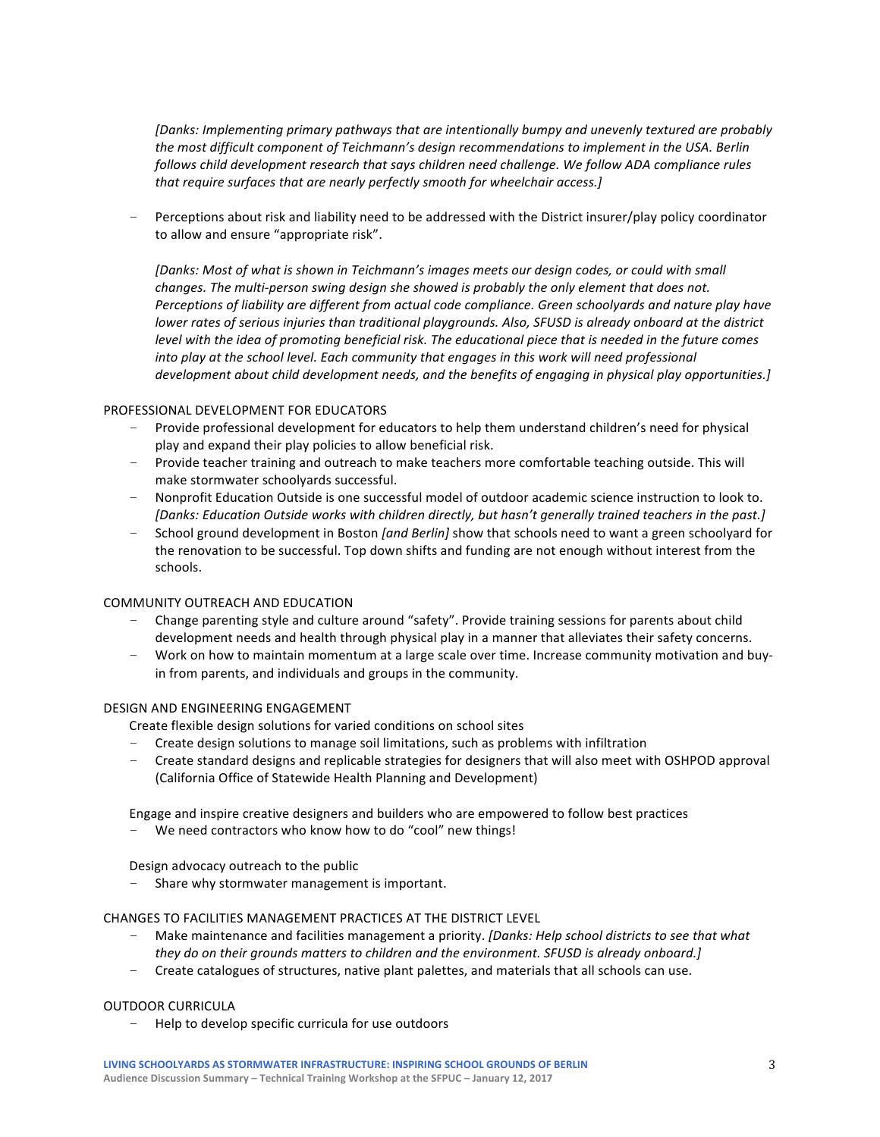*[Danks: Implementing primary pathways that are intentionally bumpy and unevenly textured are probably* the most difficult component of Teichmann's design recommendations to implement in the USA. Berlin *follows child development research that says children need challenge. We follow ADA compliance rules* that require surfaces that are nearly perfectly smooth for wheelchair access.]

Perceptions about risk and liability need to be addressed with the District insurer/play policy coordinator to allow and ensure "appropriate risk".

*[Danks: Most of what is shown in Teichmann's images meets our design codes, or could with small changes.* The multi-person swing design she showed is probably the only element that does not. Perceptions of liability are different from actual code compliance. Green schoolyards and nature play have *lower rates of serious injuries than traditional playgrounds. Also, SFUSD is already onboard at the district level* with the idea of promoting beneficial risk. The educational piece that is needed in the future comes *into play at the school level. Each community that engages in this work will need professional development about child development needs, and the benefits of engaging in physical play opportunities.]* 

## PROFESSIONAL DEVELOPMENT FOR EDUCATORS

- Provide professional development for educators to help them understand children's need for physical play and expand their play policies to allow beneficial risk.
- Provide teacher training and outreach to make teachers more comfortable teaching outside. This will make stormwater schoolyards successful.
- Nonprofit Education Outside is one successful model of outdoor academic science instruction to look to. *[Danks: Education Outside works with children directly, but hasn't generally trained teachers in the past.]*
- School ground development in Boston *[and Berlin]* show that schools need to want a green schoolyard for the renovation to be successful. Top down shifts and funding are not enough without interest from the schools.

#### COMMUNITY OUTREACH AND EDUCATION

- Change parenting style and culture around "safety". Provide training sessions for parents about child development needs and health through physical play in a manner that alleviates their safety concerns.
- Work on how to maintain momentum at a large scale over time. Increase community motivation and buyin from parents, and individuals and groups in the community.

#### DESIGN AND ENGINEERING ENGAGEMENT

Create flexible design solutions for varied conditions on school sites

- Create design solutions to manage soil limitations, such as problems with infiltration
- Create standard designs and replicable strategies for designers that will also meet with OSHPOD approval (California Office of Statewide Health Planning and Development)

Engage and inspire creative designers and builders who are empowered to follow best practices

We need contractors who know how to do "cool" new things!

Design advocacy outreach to the public

- Share why stormwater management is important.

#### CHANGES TO FACILITIES MANAGEMENT PRACTICES AT THE DISTRICT LEVEL

- Make maintenance and facilities management a priority. [Danks: Help school districts to see that what *they do on their grounds matters to children and the environment. SFUSD is already onboard.]*
- Create catalogues of structures, native plant palettes, and materials that all schools can use.

#### OUTDOOR CURRICULA

Help to develop specific curricula for use outdoors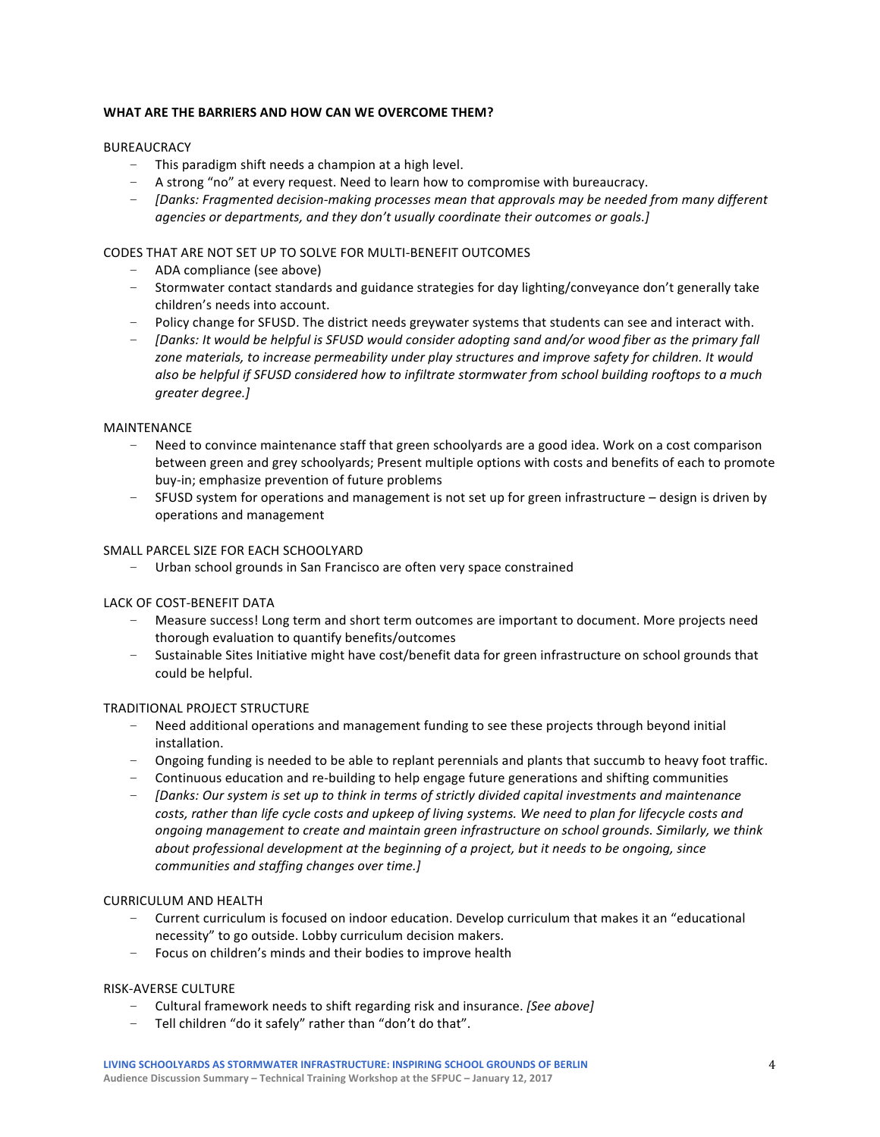# WHAT ARE THE BARRIERS AND HOW CAN WE OVERCOME THEM?

## BUREAUCRACY

- This paradigm shift needs a champion at a high level.
- A strong "no" at every request. Need to learn how to compromise with bureaucracy.
- *[Danks: Fragmented decision-making processes mean that approvals may be needed from many different agencies or departments, and they don't usually coordinate their outcomes or goals.]*

## CODES THAT ARE NOT SET UP TO SOLVE FOR MULTI-BENEFIT OUTCOMES

- ADA compliance (see above)
- Stormwater contact standards and guidance strategies for day lighting/conveyance don't generally take children's needs into account.
- Policy change for SFUSD. The district needs greywater systems that students can see and interact with.
- [Danks: It would be helpful is SFUSD would consider adopting sand and/or wood fiber as the primary fall zone materials, to increase permeability under play structures and improve safety for children. It would also be helpful if SFUSD considered how to infiltrate stormwater from school building rooftops to a much *greater degree.]*

#### MAINTENANCE

- Need to convince maintenance staff that green schoolyards are a good idea. Work on a cost comparison between green and grey schoolyards; Present multiple options with costs and benefits of each to promote buy-in; emphasize prevention of future problems
- SFUSD system for operations and management is not set up for green infrastructure design is driven by operations and management

## SMALL PARCEL SIZE FOR EACH SCHOOLYARD

- Urban school grounds in San Francisco are often very space constrained

#### LACK OF COST-BENEFIT DATA

- Measure success! Long term and short term outcomes are important to document. More projects need thorough evaluation to quantify benefits/outcomes
- Sustainable Sites Initiative might have cost/benefit data for green infrastructure on school grounds that could be helpful.

#### TRADITIONAL PROJECT STRUCTURE

- Need additional operations and management funding to see these projects through beyond initial installation.
- Ongoing funding is needed to be able to replant perennials and plants that succumb to heavy foot traffic.
- Continuous education and re-building to help engage future generations and shifting communities
- *[Danks: Our system is set up to think in terms of strictly divided capital investments and maintenance* costs, rather than life cycle costs and upkeep of living systems. We need to plan for lifecycle costs and *ongoing* management to create and maintain green infrastructure on school grounds. Similarly, we think *about* professional development at the beginning of a project, but it needs to be ongoing, since *communities and staffing changes over time.]*

#### **CURRICULUM AND HEALTH**

- Current curriculum is focused on indoor education. Develop curriculum that makes it an "educational necessity" to go outside. Lobby curriculum decision makers.
- Focus on children's minds and their bodies to improve health

#### RISK-AVERSE CULTURE

- Cultural framework needs to shift regarding risk and insurance. *[See above]*
- Tell children "do it safely" rather than "don't do that".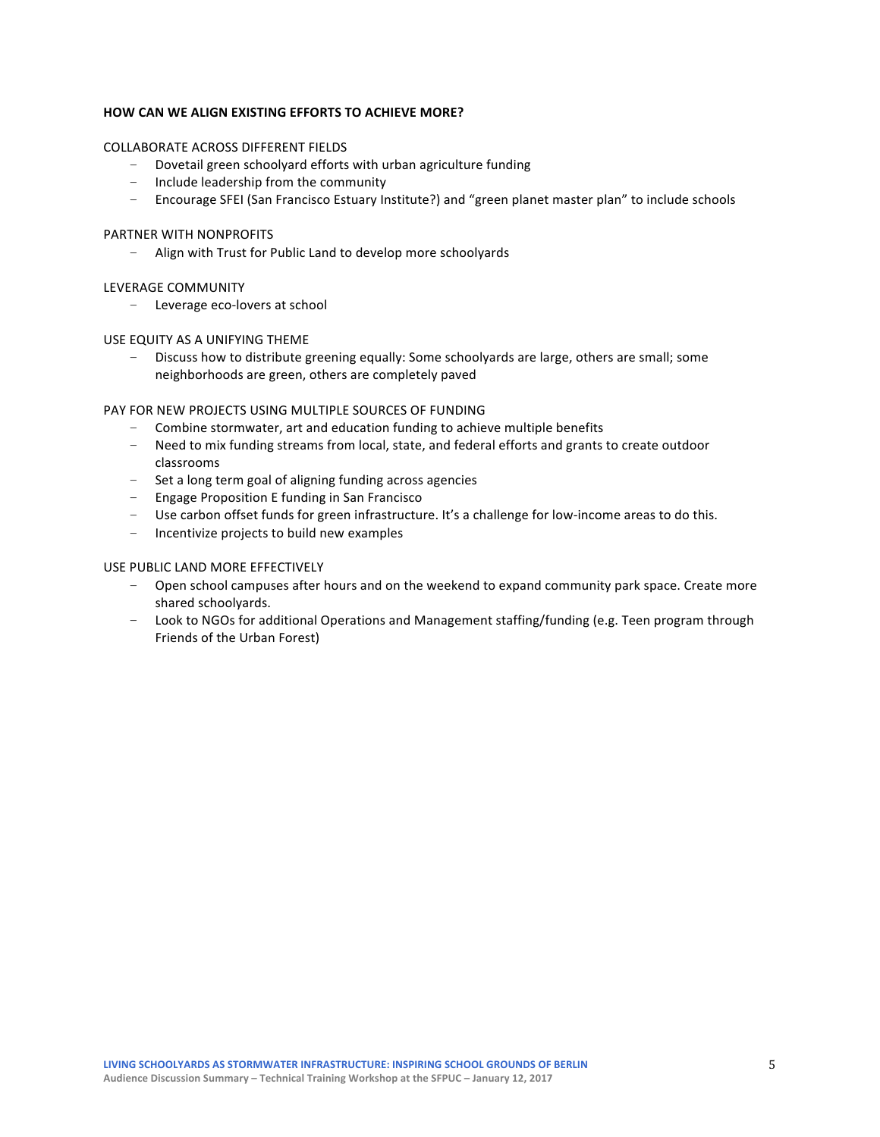# **HOW CAN WE ALIGN EXISTING EFFORTS TO ACHIEVE MORE?**

#### COLLABORATE ACROSS DIFFERENT FIELDS

- Dovetail green schoolyard efforts with urban agriculture funding
- Include leadership from the community
- Encourage SFEI (San Francisco Estuary Institute?) and "green planet master plan" to include schools

#### PARTNER WITH NONPROFITS

- Align with Trust for Public Land to develop more schoolyards

#### LEVERAGE COMMUNITY

- Leverage eco-lovers at school

#### USE EQUITY AS A UNIFYING THEME

Discuss how to distribute greening equally: Some schoolyards are large, others are small; some neighborhoods are green, others are completely paved

## PAY FOR NEW PROJECTS USING MULTIPLE SOURCES OF FUNDING

- Combine stormwater, art and education funding to achieve multiple benefits
- Need to mix funding streams from local, state, and federal efforts and grants to create outdoor classrooms
- Set a long term goal of aligning funding across agencies
- Engage Proposition E funding in San Francisco
- Use carbon offset funds for green infrastructure. It's a challenge for low-income areas to do this.
- Incentivize projects to build new examples

#### USE PUBLIC LAND MORE EFFECTIVELY

- Open school campuses after hours and on the weekend to expand community park space. Create more shared schoolvards.
- Look to NGOs for additional Operations and Management staffing/funding (e.g. Teen program through Friends of the Urban Forest)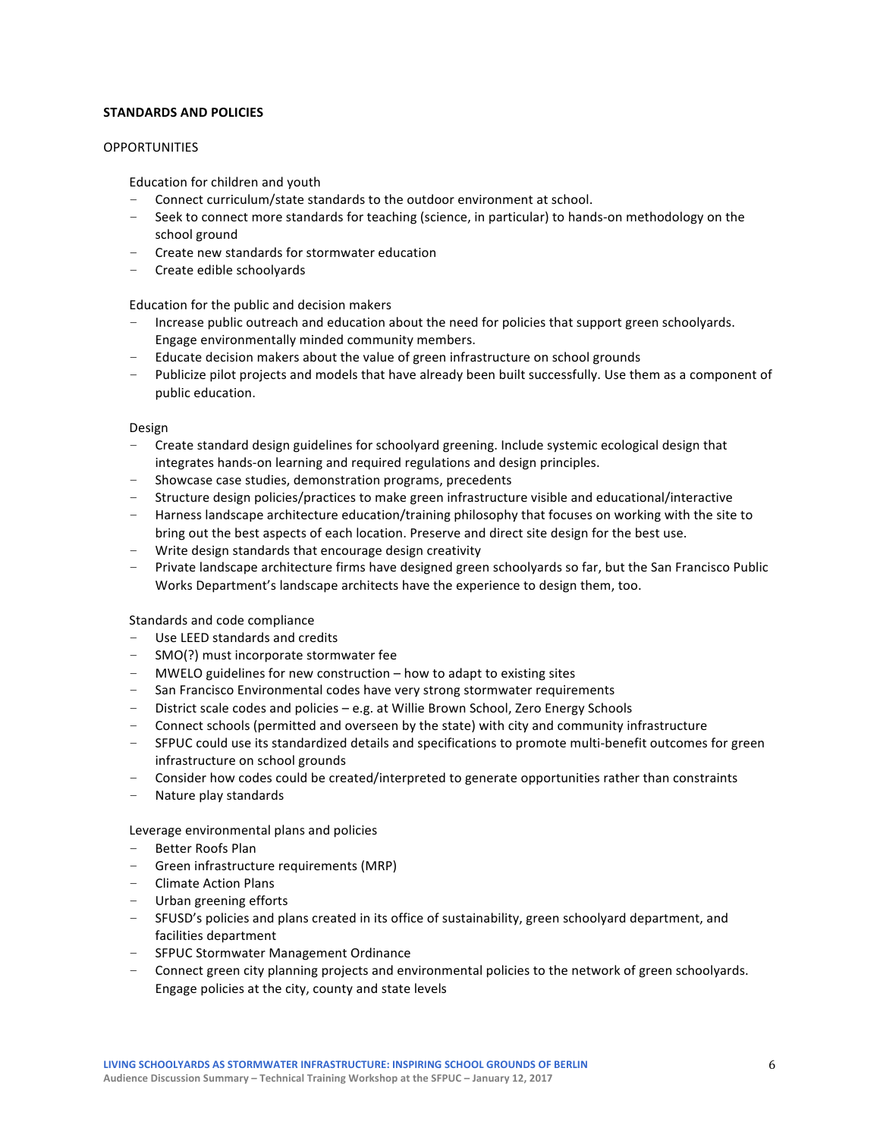## **STANDARDS AND POLICIES**

## **OPPORTUNITIES**

Education for children and youth

- Connect curriculum/state standards to the outdoor environment at school.
- Seek to connect more standards for teaching (science, in particular) to hands-on methodology on the school ground
- $-$  Create new standards for stormwater education
- Create edible schoolyards

Education for the public and decision makers

- Increase public outreach and education about the need for policies that support green schoolyards. Engage environmentally minded community members.
- $-$  Educate decision makers about the value of green infrastructure on school grounds
- Publicize pilot projects and models that have already been built successfully. Use them as a component of public education.

#### Design

- Create standard design guidelines for schoolyard greening. Include systemic ecological design that integrates hands-on learning and required regulations and design principles.
- Showcase case studies, demonstration programs, precedents
- Structure design policies/practices to make green infrastructure visible and educational/interactive
- $-$  Harness landscape architecture education/training philosophy that focuses on working with the site to bring out the best aspects of each location. Preserve and direct site design for the best use.
- Write design standards that encourage design creativity
- Private landscape architecture firms have designed green schoolyards so far, but the San Francisco Public Works Department's landscape architects have the experience to design them, too.

Standards and code compliance

- Use LEED standards and credits
- $-$  SMO(?) must incorporate stormwater fee
- $-$  MWELO guidelines for new construction  $-$  how to adapt to existing sites
- San Francisco Environmental codes have very strong stormwater requirements
- $-$  District scale codes and policies  $-e.g.$  at Willie Brown School, Zero Energy Schools
- Connect schools (permitted and overseen by the state) with city and community infrastructure
- SFPUC could use its standardized details and specifications to promote multi-benefit outcomes for green infrastructure on school grounds
- Consider how codes could be created/interpreted to generate opportunities rather than constraints
- Nature play standards

Leverage environmental plans and policies

- Better Roofs Plan
- $-$  Green infrastructure requirements (MRP)
- Climate Action Plans
- Urban greening efforts
- SFUSD's policies and plans created in its office of sustainability, green schoolyard department, and facilities department
- SFPUC Stormwater Management Ordinance
- Connect green city planning projects and environmental policies to the network of green schoolyards. Engage policies at the city, county and state levels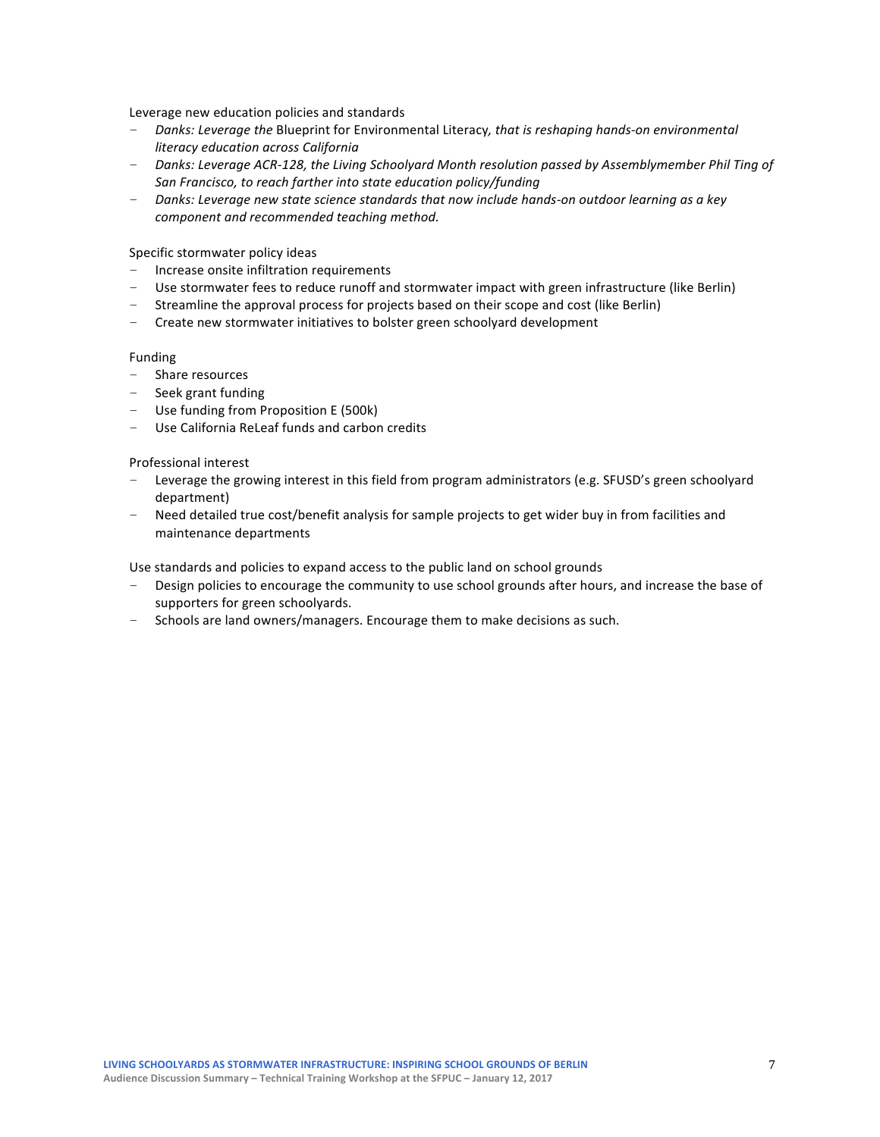Leverage new education policies and standards

- Danks: Leverage the Blueprint for Environmental Literacy, that is reshaping hands-on environmental *literacy education across California*
- Danks: Leverage ACR-128, the Living Schoolyard Month resolution passed by Assemblymember Phil Ting of *San Francisco, to reach farther into state education policy/funding*
- Danks: Leverage new state science standards that now include hands-on outdoor learning as a key *component and recommended teaching method.*

#### Specific stormwater policy ideas

- Increase onsite infiltration requirements
- Use stormwater fees to reduce runoff and stormwater impact with green infrastructure (like Berlin)
- Streamline the approval process for projects based on their scope and cost (like Berlin)
- Create new stormwater initiatives to bolster green schoolyard development

#### Funding

- Share resources
- Seek grant funding
- $-$  Use funding from Proposition E (500k)
- Use California ReLeaf funds and carbon credits

#### Professional interest

- Leverage the growing interest in this field from program administrators (e.g. SFUSD's green schoolyard department)
- Need detailed true cost/benefit analysis for sample projects to get wider buy in from facilities and maintenance departments

Use standards and policies to expand access to the public land on school grounds

- Design policies to encourage the community to use school grounds after hours, and increase the base of supporters for green schoolyards.
- Schools are land owners/managers. Encourage them to make decisions as such.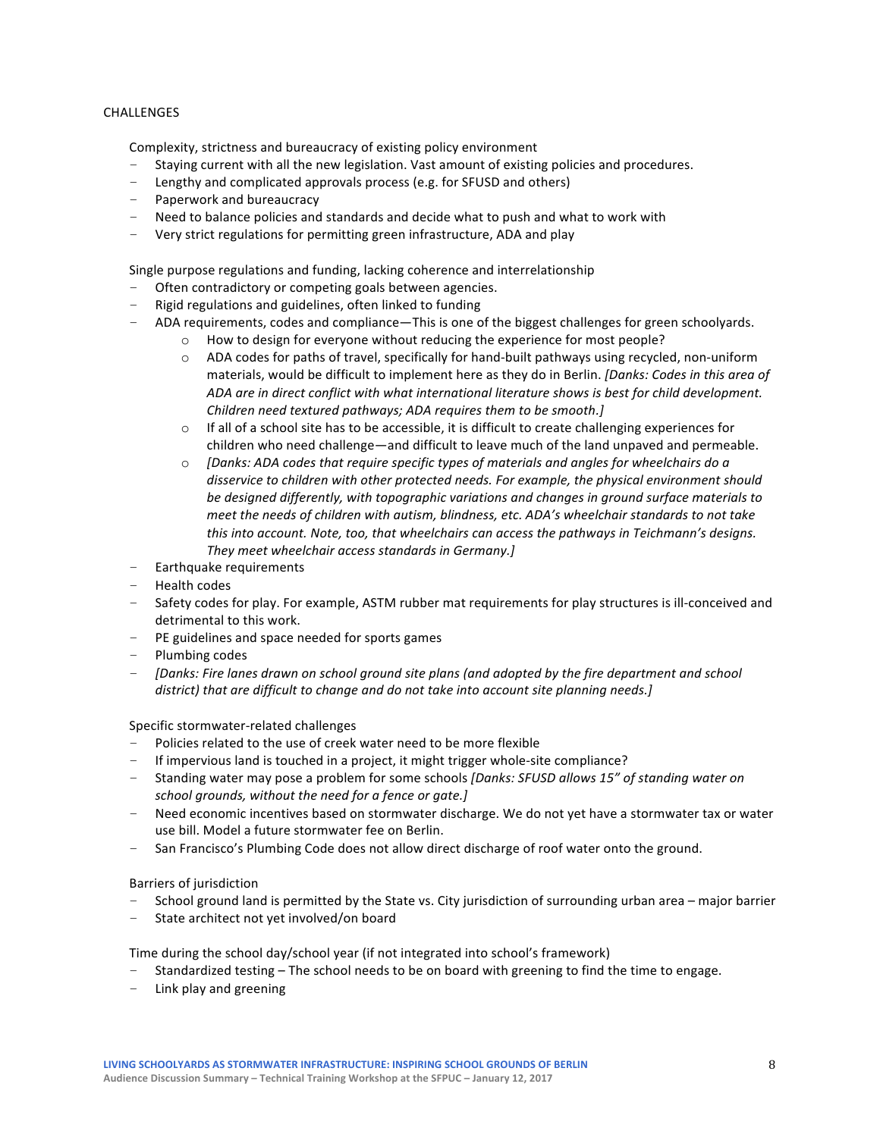# CHALLENGES

Complexity, strictness and bureaucracy of existing policy environment

- Staying current with all the new legislation. Vast amount of existing policies and procedures.
- Lengthy and complicated approvals process (e.g. for SFUSD and others)
- Paperwork and bureaucracy
- $-$  Need to balance policies and standards and decide what to push and what to work with
- Very strict regulations for permitting green infrastructure, ADA and play

Single purpose regulations and funding, lacking coherence and interrelationship

- Often contradictory or competing goals between agencies.
- Rigid regulations and guidelines, often linked to funding
- ADA requirements, codes and compliance—This is one of the biggest challenges for green schoolyards.
	- o How to design for everyone without reducing the experience for most people?
	- $\circ$  ADA codes for paths of travel, specifically for hand-built pathways using recycled, non-uniform materials, would be difficult to implement here as they do in Berlin. *[Danks: Codes in this area of* ADA are in direct conflict with what international literature shows is best for child development. *Children need textured pathways; ADA requires them to be smooth.]*
	- $\circ$  If all of a school site has to be accessible, it is difficult to create challenging experiences for children who need challenge—and difficult to leave much of the land unpaved and permeable.
	- $\circ$  *[Danks: ADA codes that require specific types of materials and angles for wheelchairs do a* disservice to children with other protected needs. For example, the physical environment should be designed differently, with topographic variations and changes in ground surface materials to *meet the needs of children with autism, blindness, etc. ADA's wheelchair standards to not take this* into account. Note, too, that wheelchairs can access the pathways in Teichmann's designs. *They meet wheelchair access standards in Germany.]*
- Earthquake requirements
- Health codes
- Safety codes for play. For example, ASTM rubber mat requirements for play structures is ill-conceived and detrimental to this work.
- PE guidelines and space needed for sports games
- Plumbing codes
- *[Danks: Fire lanes drawn on school ground site plans (and adopted by the fire department and school* district) that are difficult to change and do not take into account site planning needs.]

Specific stormwater-related challenges

- Policies related to the use of creek water need to be more flexible
- If impervious land is touched in a project, it might trigger whole-site compliance?
- Standing water may pose a problem for some schools [Danks: SFUSD allows 15" of standing water on *school grounds, without the need for a fence or gate.]*
- Need economic incentives based on stormwater discharge. We do not yet have a stormwater tax or water use bill. Model a future stormwater fee on Berlin.
- San Francisco's Plumbing Code does not allow direct discharge of roof water onto the ground.

Barriers of jurisdiction

- School ground land is permitted by the State vs. City jurisdiction of surrounding urban area major barrier
- State architect not yet involved/on board

Time during the school day/school year (if not integrated into school's framework)

- Standardized testing  $-$  The school needs to be on board with greening to find the time to engage.
- Link play and greening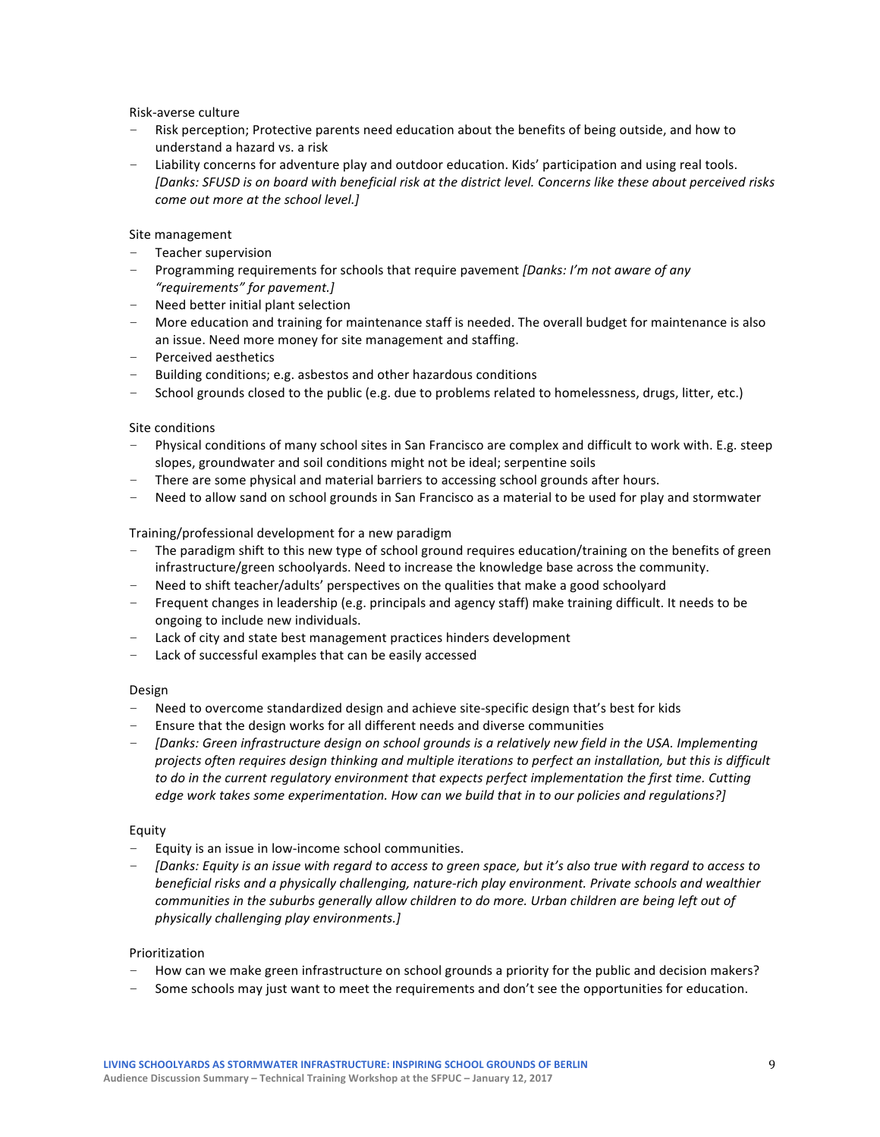Risk-averse culture

- Risk perception; Protective parents need education about the benefits of being outside, and how to understand a hazard vs. a risk
- Liability concerns for adventure play and outdoor education. Kids' participation and using real tools. [Danks: SFUSD is on board with beneficial risk at the district level. Concerns like these about perceived risks *come out more at the school level.]*

# Site management

- Teacher supervision
- Programming requirements for schools that require pavement *[Danks: I'm not aware of any "requirements" for pavement.]*
- $-$  Need better initial plant selection
- More education and training for maintenance staff is needed. The overall budget for maintenance is also an issue. Need more money for site management and staffing.
- Perceived aesthetics
- $-$  Building conditions; e.g. asbestos and other hazardous conditions
- School grounds closed to the public (e.g. due to problems related to homelessness, drugs, litter, etc.)

#### Site conditions

- Physical conditions of many school sites in San Francisco are complex and difficult to work with. E.g. steep slopes, groundwater and soil conditions might not be ideal; serpentine soils
- There are some physical and material barriers to accessing school grounds after hours.
- Need to allow sand on school grounds in San Francisco as a material to be used for play and stormwater

## Training/professional development for a new paradigm

- The paradigm shift to this new type of school ground requires education/training on the benefits of green infrastructure/green schoolyards. Need to increase the knowledge base across the community.
- Need to shift teacher/adults' perspectives on the qualities that make a good schoolyard
- Frequent changes in leadership (e.g. principals and agency staff) make training difficult. It needs to be ongoing to include new individuals.
- Lack of city and state best management practices hinders development
- Lack of successful examples that can be easily accessed

#### Design

- Need to overcome standardized design and achieve site-specific design that's best for kids
- Ensure that the design works for all different needs and diverse communities
- *[Danks: Green infrastructure design on school grounds is a relatively new field in the USA. Implementing* projects often requires design thinking and multiple iterations to perfect an installation, but this is difficult to do in the current regulatory environment that expects perfect implementation the first time. Cutting *edge work takes some experimentation. How can we build that in to our policies and regulations?]*

# Equity

- $-$  Equity is an issue in low-income school communities.
- *[Danks: Equity is an issue with regard to access to green space, but it's also true with regard to access to beneficial risks and a physically challenging, nature-rich play environment. Private schools and wealthier* communities in the suburbs generally allow children to do more. Urban children are being left out of *physically challenging play environments.]*

#### Prioritization

- How can we make green infrastructure on school grounds a priority for the public and decision makers?
- Some schools may just want to meet the requirements and don't see the opportunities for education.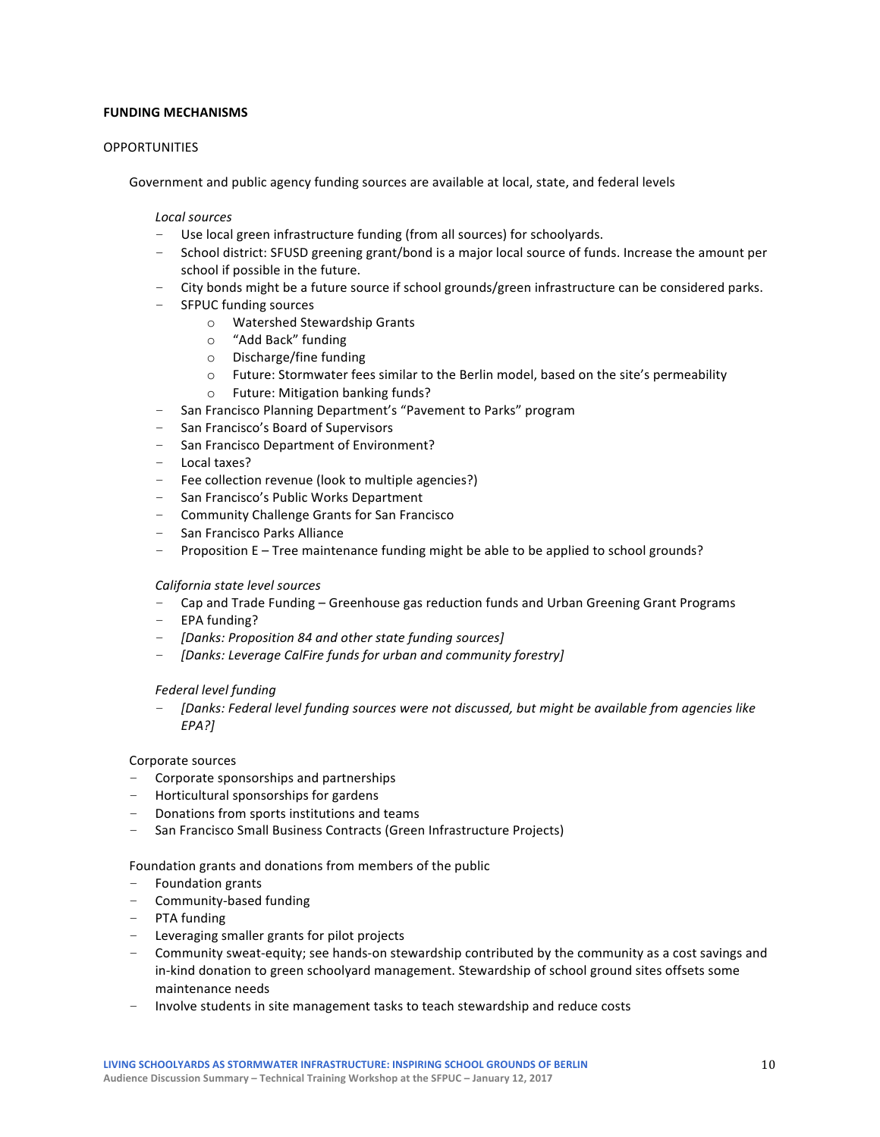# **FUNDING MECHANISMS**

## **OPPORTUNITIES**

Government and public agency funding sources are available at local, state, and federal levels

#### *Local sources*

- Use local green infrastructure funding (from all sources) for schoolyards.
- School district: SFUSD greening grant/bond is a major local source of funds. Increase the amount per school if possible in the future.
- City bonds might be a future source if school grounds/green infrastructure can be considered parks.
- SFPUC funding sources
	- o Watershed Stewardship Grants
	- o "Add Back" funding
	- $\circ$  Discharge/fine funding
	- o Future: Stormwater fees similar to the Berlin model, based on the site's permeability
	- o Future: Mitigation banking funds?
- San Francisco Planning Department's "Pavement to Parks" program
- San Francisco's Board of Supervisors
- San Francisco Department of Environment?
- Local taxes?
- Fee collection revenue (look to multiple agencies?)
- San Francisco's Public Works Department
- Community Challenge Grants for San Francisco
- San Francisco Parks Alliance
- Proposition E Tree maintenance funding might be able to be applied to school grounds?

#### *California state level sources*

- Cap and Trade Funding Greenhouse gas reduction funds and Urban Greening Grant Programs
- $-$  EPA funding?
- *[Danks: Proposition 84 and other state funding sources]*
- [Danks: Leverage CalFire funds for urban and community forestry]

#### *Federal level funding*

[Danks: Federal level funding sources were not discussed, but might be available from agencies like *EPA?]*

#### Corporate sources

- $-$  Corporate sponsorships and partnerships
- $-$  Horticultural sponsorships for gardens
- Donations from sports institutions and teams
- San Francisco Small Business Contracts (Green Infrastructure Projects)

#### Foundation grants and donations from members of the public

- $-$  Foundation grants
- Community-based funding
- PTA funding
- Leveraging smaller grants for pilot projects
- Community sweat-equity; see hands-on stewardship contributed by the community as a cost savings and in-kind donation to green schoolyard management. Stewardship of school ground sites offsets some maintenance needs
- Involve students in site management tasks to teach stewardship and reduce costs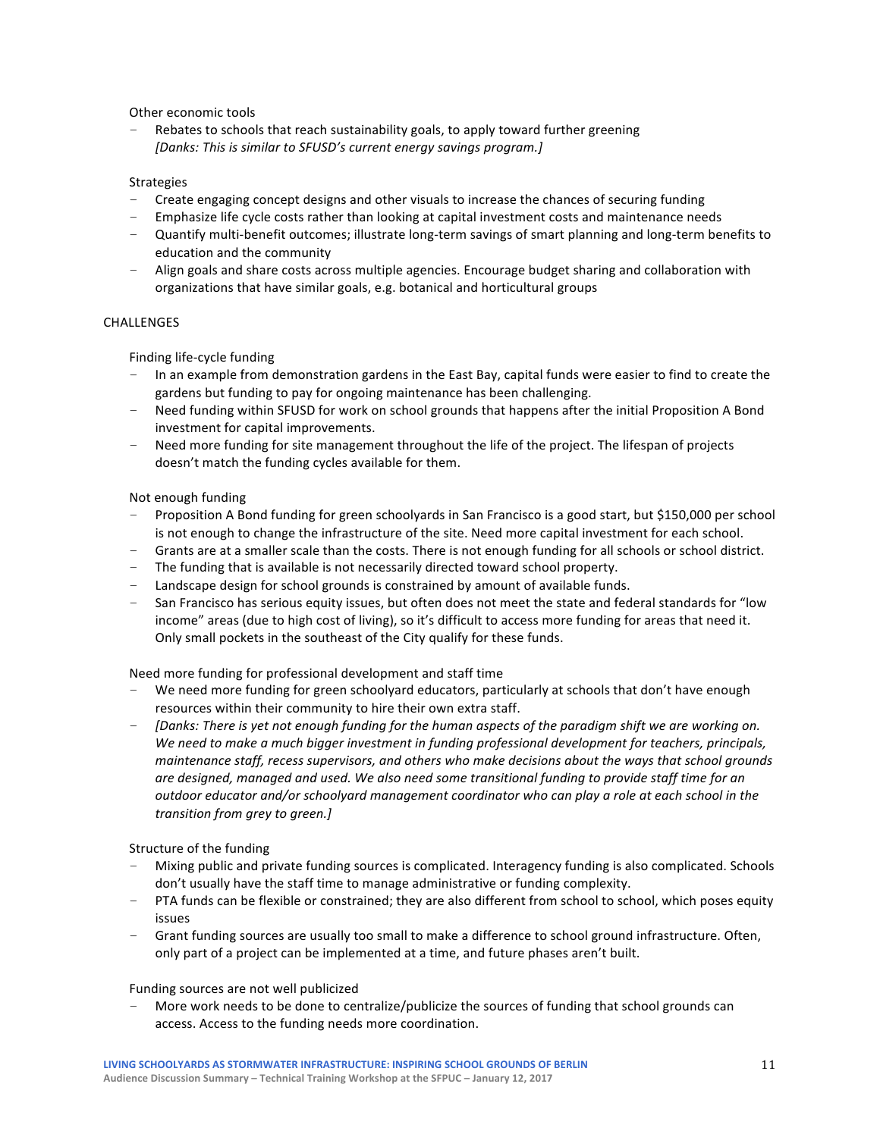Other economic tools

Rebates to schools that reach sustainability goals, to apply toward further greening [Danks: This is similar to SFUSD's current energy savings program.]

# **Strategies**

- Create engaging concept designs and other visuals to increase the chances of securing funding
- Emphasize life cycle costs rather than looking at capital investment costs and maintenance needs
- Quantify multi-benefit outcomes; illustrate long-term savings of smart planning and long-term benefits to education and the community
- Align goals and share costs across multiple agencies. Encourage budget sharing and collaboration with organizations that have similar goals, e.g. botanical and horticultural groups

## CHALLENGES

Finding life-cycle funding

- In an example from demonstration gardens in the East Bay, capital funds were easier to find to create the gardens but funding to pay for ongoing maintenance has been challenging.
- Need funding within SFUSD for work on school grounds that happens after the initial Proposition A Bond investment for capital improvements.
- Need more funding for site management throughout the life of the project. The lifespan of projects doesn't match the funding cycles available for them.

## Not enough funding

- Proposition A Bond funding for green schoolyards in San Francisco is a good start, but \$150,000 per school is not enough to change the infrastructure of the site. Need more capital investment for each school.
- Grants are at a smaller scale than the costs. There is not enough funding for all schools or school district.
- $-$  The funding that is available is not necessarily directed toward school property.
- Landscape design for school grounds is constrained by amount of available funds.
- San Francisco has serious equity issues, but often does not meet the state and federal standards for "low income" areas (due to high cost of living), so it's difficult to access more funding for areas that need it. Only small pockets in the southeast of the City qualify for these funds.

Need more funding for professional development and staff time

- We need more funding for green schoolyard educators, particularly at schools that don't have enough resources within their community to hire their own extra staff.
- *[Danks: There is yet not enough funding for the human aspects of the paradigm shift we are working on.* We need to make a much bigger investment in funding professional development for teachers, principals, *maintenance staff, recess supervisors, and others who make decisions about the ways that school grounds are designed, managed and used. We also need some transitional funding to provide staff time for an outdoor educator and/or schoolyard management coordinator who can play a role at each school in the transition from grey to green.]*

Structure of the funding

- Mixing public and private funding sources is complicated. Interagency funding is also complicated. Schools don't usually have the staff time to manage administrative or funding complexity.
- PTA funds can be flexible or constrained; they are also different from school to school, which poses equity issues
- Grant funding sources are usually too small to make a difference to school ground infrastructure. Often, only part of a project can be implemented at a time, and future phases aren't built.

Funding sources are not well publicized

More work needs to be done to centralize/publicize the sources of funding that school grounds can access. Access to the funding needs more coordination.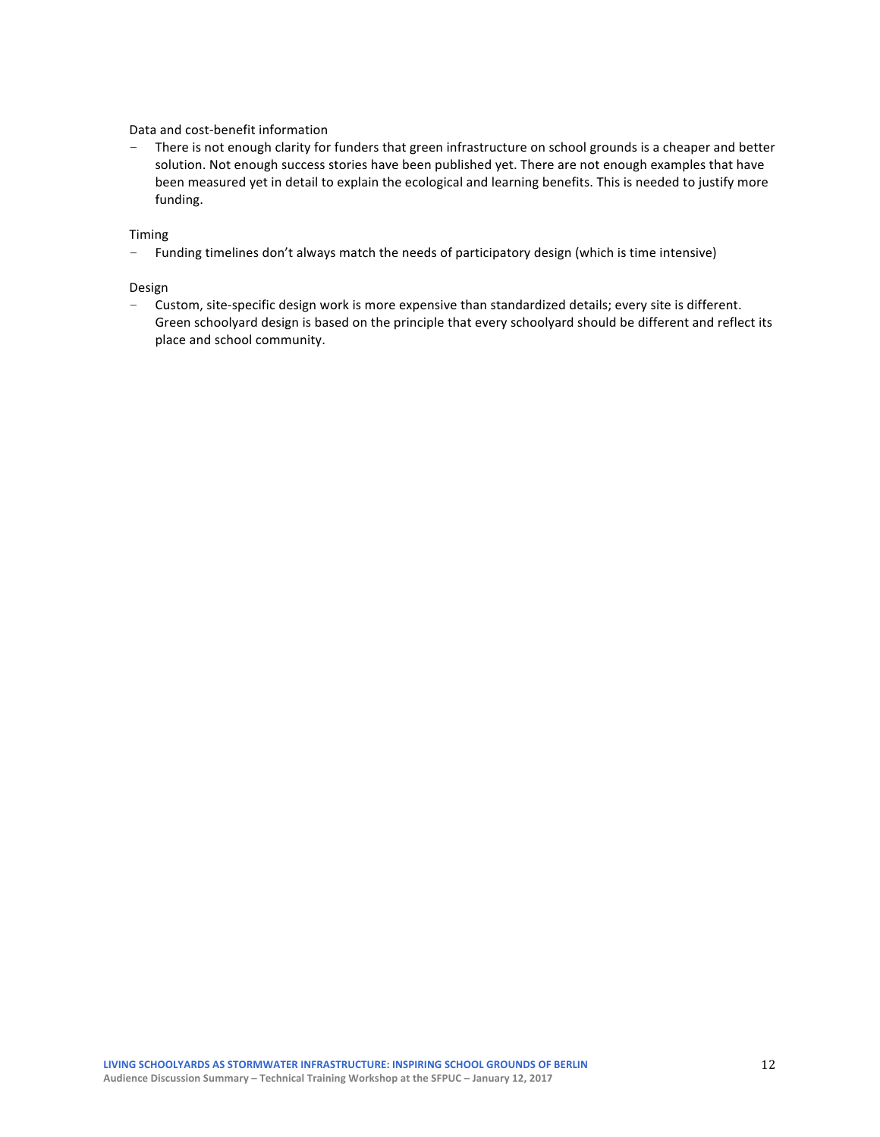## Data and cost-benefit information

- There is not enough clarity for funders that green infrastructure on school grounds is a cheaper and better solution. Not enough success stories have been published yet. There are not enough examples that have been measured yet in detail to explain the ecological and learning benefits. This is needed to justify more funding. 

## Timing

- Funding timelines don't always match the needs of participatory design (which is time intensive)

#### Design

- Custom, site-specific design work is more expensive than standardized details; every site is different. Green schoolyard design is based on the principle that every schoolyard should be different and reflect its place and school community.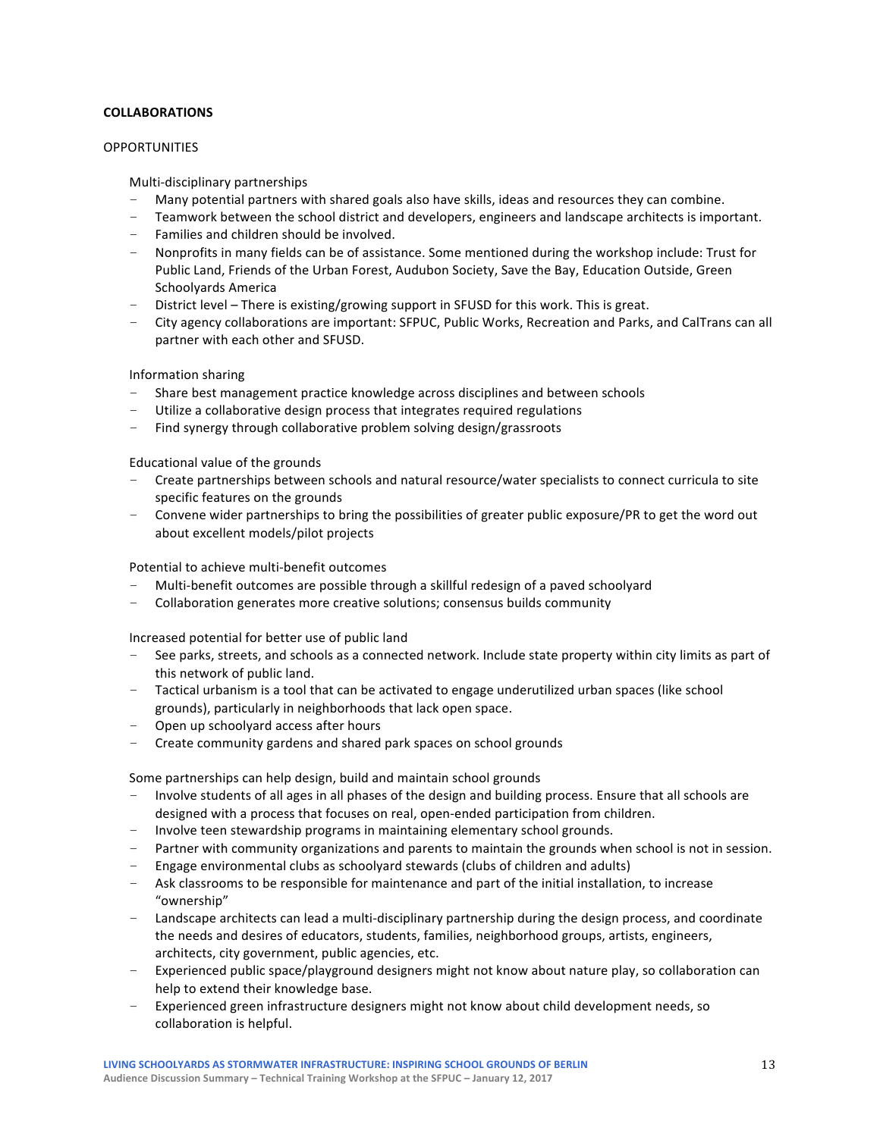# **COLLABORATIONS**

## **OPPORTUNITIES**

Multi-disciplinary partnerships 

- Many potential partners with shared goals also have skills, ideas and resources they can combine.
- Teamwork between the school district and developers, engineers and landscape architects is important.
- Families and children should be involved.
- Nonprofits in many fields can be of assistance. Some mentioned during the workshop include: Trust for Public Land, Friends of the Urban Forest, Audubon Society, Save the Bay, Education Outside, Green Schoolyards America
- District level There is existing/growing support in SFUSD for this work. This is great.
- City agency collaborations are important: SFPUC, Public Works, Recreation and Parks, and CalTrans can all partner with each other and SFUSD.

Information sharing

- Share best management practice knowledge across disciplines and between schools
- Utilize a collaborative design process that integrates required regulations
- Find synergy through collaborative problem solving design/grassroots

Educational value of the grounds

- Create partnerships between schools and natural resource/water specialists to connect curricula to site specific features on the grounds
- Convene wider partnerships to bring the possibilities of greater public exposure/PR to get the word out about excellent models/pilot projects

Potential to achieve multi-benefit outcomes

- Multi-benefit outcomes are possible through a skillful redesign of a paved schoolyard
- Collaboration generates more creative solutions; consensus builds community

Increased potential for better use of public land

- See parks, streets, and schools as a connected network. Include state property within city limits as part of this network of public land.
- $-$  Tactical urbanism is a tool that can be activated to engage underutilized urban spaces (like school grounds), particularly in neighborhoods that lack open space.
- Open up schoolyard access after hours
- Create community gardens and shared park spaces on school grounds

Some partnerships can help design, build and maintain school grounds

- Involve students of all ages in all phases of the design and building process. Ensure that all schools are designed with a process that focuses on real, open-ended participation from children.
- Involve teen stewardship programs in maintaining elementary school grounds.
- Partner with community organizations and parents to maintain the grounds when school is not in session.
- $-$  Engage environmental clubs as schoolyard stewards (clubs of children and adults)
- Ask classrooms to be responsible for maintenance and part of the initial installation, to increase "ownership"
- $-$  Landscape architects can lead a multi-disciplinary partnership during the design process, and coordinate the needs and desires of educators, students, families, neighborhood groups, artists, engineers, architects, city government, public agencies, etc.
- Experienced public space/playground designers might not know about nature play, so collaboration can help to extend their knowledge base.
- Experienced green infrastructure designers might not know about child development needs, so collaboration is helpful.